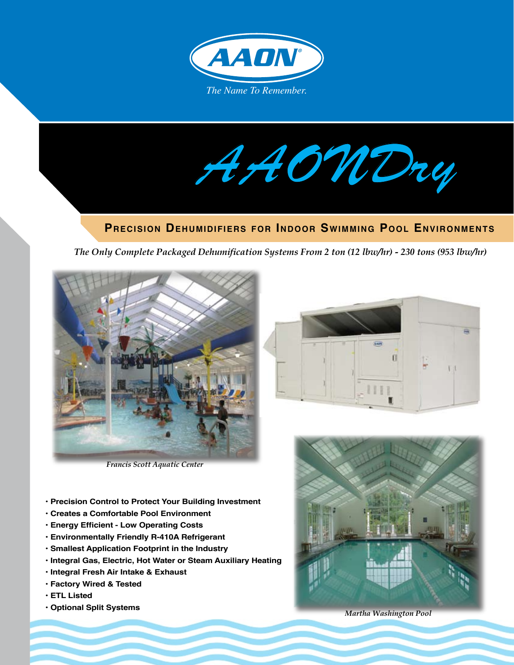

*AAONDry*

# **Precision Dehumidifiers for Indoor Swimming Pool Environments**

*The Only Complete Packaged Dehumification Systems From 2 ton (12 lbw/hr) - 230 tons (953 lbw/hr)* 



*Francis Scott Aquatic Center*

- **Precision Control to Protect Your Building Investment**
- **Creates a Comfortable Pool Environment**
- **Energy Efficient Low Operating Costs**
- **Environmentally Friendly R-410A Refrigerant**
- **Smallest Application Footprint in the Industry**
- **Integral Gas, Electric, Hot Water or Steam Auxiliary Heating**
- **Integral Fresh Air Intake & Exhaust**
- **Factory Wired & Tested**
- **ETL Listed**
- **Optional Split Systems**





*Martha Washington Pool*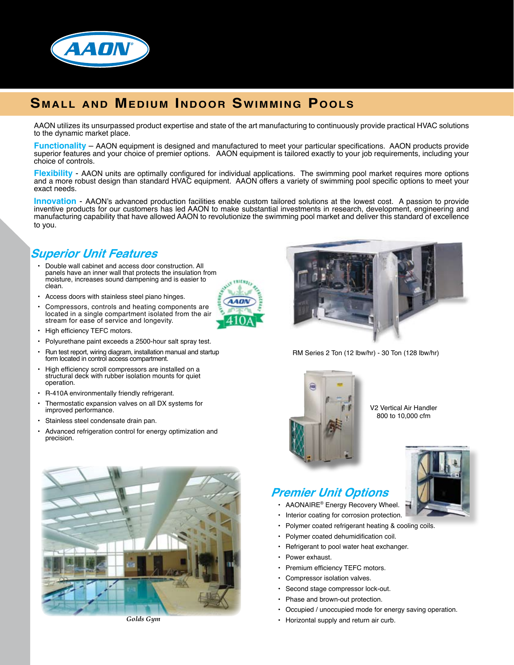

# **Small and Medium Indoor Swimming Pools**

AAON utilizes its unsurpassed product expertise and state of the art manufacturing to continuously provide practical HVAC solutions to the dynamic market place.

**Functionality** – AAON equipment is designed and manufactured to meet your particular specifications. AAON products provide superior features and your choice of premier options. AAON equipment is tailored exactly to your job requirements, including your choice of controls.

**Flexibility** - AAON units are optimally configured for individual applications. The swimming pool market requires more options and a more robust design than standard HVAC equipment. AAON offers a variety of swimming pool specific options to meet your exact needs.

**Innovation** - AAON's advanced production facilities enable custom tailored solutions at the lowest cost. A passion to provide inventive products for our customers has led AAON to make substantial investments in research, development, engineering and manufacturing capability that have allowed AAON to revolutionize the swimming pool market and deliver this standard of excellence to you.

### **Superior Unit Features**

- Double wall cabinet and access door construction. All panels have an inner wall that protects the insulation from moisture, increases sound dampening and is easier to clean. •
- Access doors with stainless steel piano hinges. •
- Compressors, controls and heating components are located in a single compartment isolated from the air stream for ease of service and longevity. •
- High efficiency TEFC motors.
- Polyurethane paint exceeds a 2500-hour salt spray test. •
- Run test report, wiring diagram, installation manual and startup form located in control access compartment. •
- High efficiency scroll compressors are installed on a structural deck with rubber isolation mounts for quiet operation. •
- R-410A environmentally friendly refrigerant. •
- Thermostatic expansion valves on all DX systems for improved performance. •
- Stainless steel condensate drain pan. •
- Advanced refrigeration control for energy optimization and precision. •





RM Series 2 Ton (12 lbw/hr) - 30 Ton (128 lbw/hr)



V2 Vertical Air Handler 800 to 10,000 cfm

# **Premier Unit Options**

- AAONAIRE® Energy Recovery Wheel.
- Interior coating for corrosion protection. •
	- Polymer coated refrigerant heating & cooling coils.
- Polymer coated dehumidification coil. •
- Refrigerant to pool water heat exchanger. •
- Power exhaust.

•

- Premium efficiency TEFC motors. •
- Compressor isolation valves. •
- Second stage compressor lock-out. •
- Phase and brown-out protection. •
- Occupied / unoccupied mode for energy saving operation. •
- Horizontal supply and return air curb.



*Golds Gym*

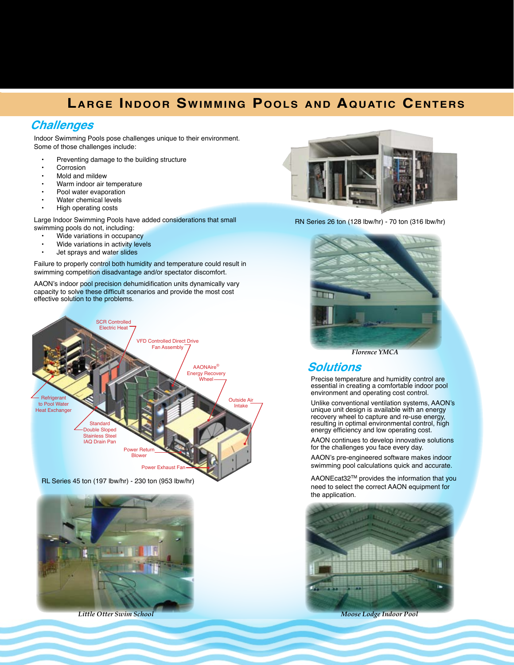# **Large Indoor Swimming Pools and Aquatic Centers**

### **Challenges**

Indoor Swimming Pools pose challenges unique to their environment. Some of those challenges include:

- Preventing damage to the building structure •
- Corrosion •
- Mold and mildew •
- Warm indoor air temperature •
- Pool water evaporation •
- Water chemical levels •
- High operating costs •

Large Indoor Swimming Pools have added considerations that small swimming pools do not, including:

- Wide variations in occupancy •
- Wide variations in activity levels •
- Jet sprays and water slides •

Failure to properly control both humidity and temperature could result in swimming competition disadvantage and/or spectator discomfort.

AAON's indoor pool precision dehumidification units dynamically vary capacity to solve these difficult scenarios and provide the most cost effective solution to the problems.



RL Series 45 ton (197 lbw/hr) - 230 ton (953 lbw/hr)



*Little Otter Swim School Moose Lodge Indoor Pool*



RN Series 26 ton (128 lbw/hr) - 70 ton (316 lbw/hr)



*Florence YMCA*

#### **Solutions**

Precise temperature and humidity control are essential in creating a comfortable indoor pool environment and operating cost control.

Unlike conventional ventilation systems, AAON's unique unit design is available with an energy recovery wheel to capture and re-use energy resulting in optimal environmental control, high energy efficiency and low operating cost.

AAON continues to develop innovative solutions for the challenges you face every day.

AAON's pre-engineered software makes indoor swimming pool calculations quick and accurate.

AAONEcat32TM provides the information that you need to select the correct AAON equipment for the application.